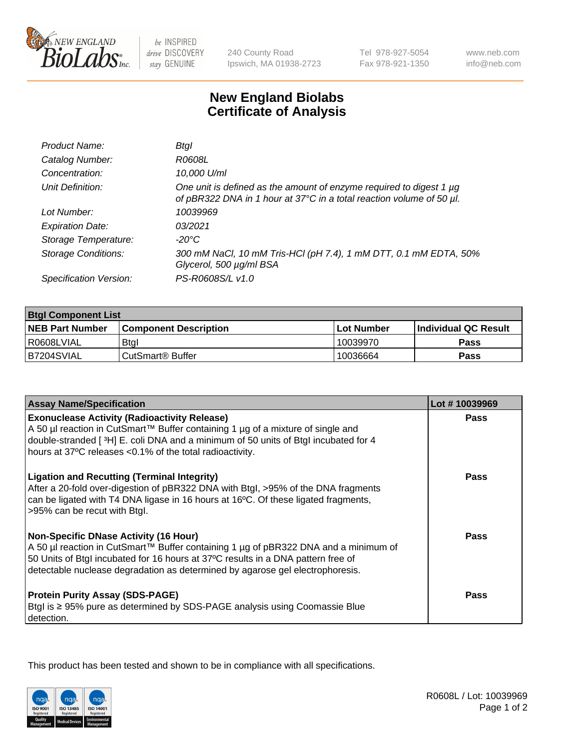

be INSPIRED drive DISCOVERY stay GENUINE

240 County Road Ipswich, MA 01938-2723 Tel 978-927-5054 Fax 978-921-1350

www.neb.com info@neb.com

## **New England Biolabs Certificate of Analysis**

| Product Name:              | Btal                                                                                                                                             |
|----------------------------|--------------------------------------------------------------------------------------------------------------------------------------------------|
| Catalog Number:            | R0608L                                                                                                                                           |
| Concentration:             | 10,000 U/ml                                                                                                                                      |
| Unit Definition:           | One unit is defined as the amount of enzyme required to digest 1 $\mu$ g<br>of pBR322 DNA in 1 hour at 37°C in a total reaction volume of 50 µl. |
| Lot Number:                | 10039969                                                                                                                                         |
| <b>Expiration Date:</b>    | 0.3/2021                                                                                                                                         |
| Storage Temperature:       | -20°C                                                                                                                                            |
| <b>Storage Conditions:</b> | 300 mM NaCl, 10 mM Tris-HCl (pH 7.4), 1 mM DTT, 0.1 mM EDTA, 50%<br>Glycerol, 500 µg/ml BSA                                                      |
| Specification Version:     | PS-R0608S/L v1.0                                                                                                                                 |

| <b>Btgl Component List</b> |                              |                   |                             |  |  |
|----------------------------|------------------------------|-------------------|-----------------------------|--|--|
| <b>NEB Part Number</b>     | <b>Component Description</b> | <b>Lot Number</b> | <b>Individual QC Result</b> |  |  |
| I R0608LVIAL               | <b>Btgl</b>                  | 10039970          | <b>Pass</b>                 |  |  |
| B7204SVIAL                 | l CutSmart® Buffer           | 10036664          | Pass                        |  |  |

| <b>Assay Name/Specification</b>                                                                                                                                                                                                                                                                          | Lot #10039969 |
|----------------------------------------------------------------------------------------------------------------------------------------------------------------------------------------------------------------------------------------------------------------------------------------------------------|---------------|
| <b>Exonuclease Activity (Radioactivity Release)</b><br>A 50 µl reaction in CutSmart™ Buffer containing 1 µg of a mixture of single and                                                                                                                                                                   | Pass          |
| double-stranded [3H] E. coli DNA and a minimum of 50 units of Btgl incubated for 4<br>hours at 37°C releases <0.1% of the total radioactivity.                                                                                                                                                           |               |
| <b>Ligation and Recutting (Terminal Integrity)</b><br>After a 20-fold over-digestion of pBR322 DNA with Btgl, >95% of the DNA fragments<br>can be ligated with T4 DNA ligase in 16 hours at 16°C. Of these ligated fragments,<br>>95% can be recut with Btgl.                                            | <b>Pass</b>   |
| <b>Non-Specific DNase Activity (16 Hour)</b><br>A 50 µl reaction in CutSmart™ Buffer containing 1 µg of pBR322 DNA and a minimum of<br>50 Units of Btgl incubated for 16 hours at 37°C results in a DNA pattern free of<br>detectable nuclease degradation as determined by agarose gel electrophoresis. | Pass          |
| <b>Protein Purity Assay (SDS-PAGE)</b><br>Btgl is ≥ 95% pure as determined by SDS-PAGE analysis using Coomassie Blue<br>detection.                                                                                                                                                                       | Pass          |

This product has been tested and shown to be in compliance with all specifications.